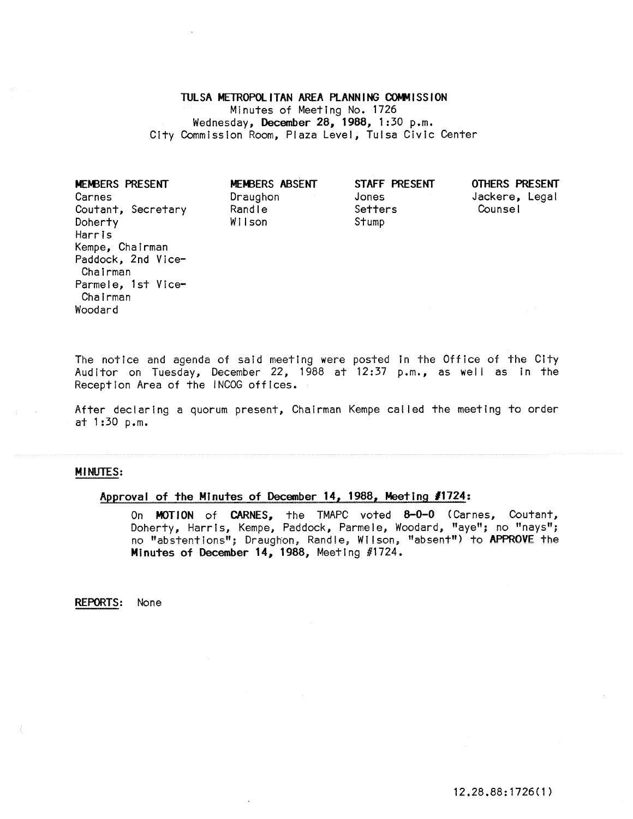# TULSA METROPOLITAN AREA PLANNING COMMISSION

Minutes of Meeting No. 1726 Wednesday, December 28,1988, 1:30 p.m. City Commission Room, Plaza Level, Tulsa Civic Center

MEM3ERS PRESENT Carnes Coutant, Secretary **Doherty** Harris Kempe, Chairman Paddock, 2nd Vice-Chairman Parmele, 1st Vice-Chairman Woodard

MEMBERS ABSENT Draughon Randle WII son

STAFF PRESENT Jones Setters Stump

OTHERS PRESENT Jackere, Legal Counsel

The notice and agenda of said meeting were posted In the Office of the City Auditor on Tuesday, December 22, 1988 at 12:37 p.m., as well as In the Reception Area of the INCOG offices.

After declaring a quorum present, Chairman Kempe called the meeting to order at 1:30 p.m.

### MINUTES:

# Approval of the Minutes of December 14, 1988, Meeting *11724:*

On MOTION of CARNES, the TMAPC voted 8-0-0 (Carnes, Coutant, Doherty, Harris, Kempe, Paddock, Parmele, Woodard, "aye"; no "nays"; no "abstentions"; Draughon, Randle, Wilson, "absent") to APPROVE the Minutes of December 14, 1988, Meeting #1724.

REPORTS: None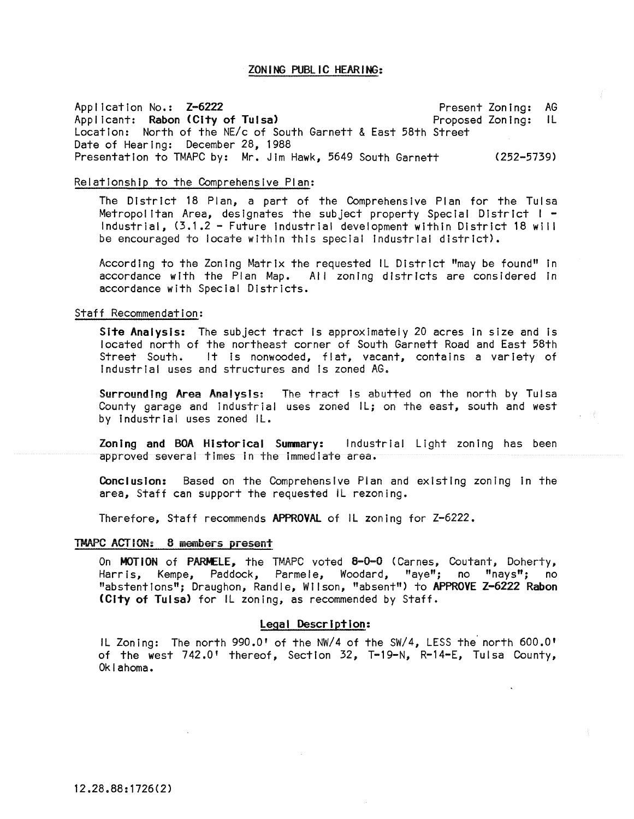### ZONING PUBLIC HEARING:

Application No.: Z-6222 Proposed Zoning: Location: North of the NE/c of South Garnett & East 58th Street Present Zoning: AG Applicant: Rabon (City of Tulsa) Date of Hearing: December 28, 1988 Presentation to TMAPC by: Mr. Jim Hawk, 5649 South Garnett (252-5739)

#### Relationship to the Comprehensive Plan:

The District 18 Plan, a part of the Comprehensive Plan for the Tulsa Metropolitan Area, designates the subject property Special District I - Industrial, (3.1.2 - Future Industrial development within District 18 will be encouraged to locate within this special Industrial district).

According to the Zoning Matrix the requested IL District "may be found" in accordance with the Plan Map. All zoning districts are considered in accordance with Special Districts.

#### Staff Recommendation:

Site Analysis: The subject tract is approximately 20 acres in size and is located north of the northeast corner of South Garnett Road and East 58th Street South. It is nonwooded, flat, vacant, contains a variety of Industrial uses and structures and Is zoned AG.

Surrounding Area Analysis: The tract Is abutted on the north by Tulsa County garage and industrial uses zoned IL; on the east, south and west by Industrial uses zoned Il.

Zoning and BOA Historical Summary: Industrial Light zoning has been approved several times In the Immediate area.

Conclusion: Based on the Comprehensive Plan and existing zoning in the area, Staff can support the requested iL rezoning.

Therefore, Staff recommends APPROVAl of Il zoning for Z-6222.

### TMAPC ACTION: 8 members present

On MOTION of PARMELE, the TMAPC voted 8-0-0 (Carnes, Coutant, Doherty, Harris, Kempe, Paddock, Parmele, Woodard, "aye"; no "nays"; no "abstentions"; Draughon, Randle, Wilson, "absent") to APPROVE Z-6222 Rabon (City of Tulsa) for Il zoning, as recommended by Staff.

### Legal Description:

Il Zoning: The north 990.0' of the NW/4 of the SW/4, lESS the' north 600.0' of the west 742.0' thereof, Section 32, T-19-N, R-14-E, Tulsa County, Oklahoma.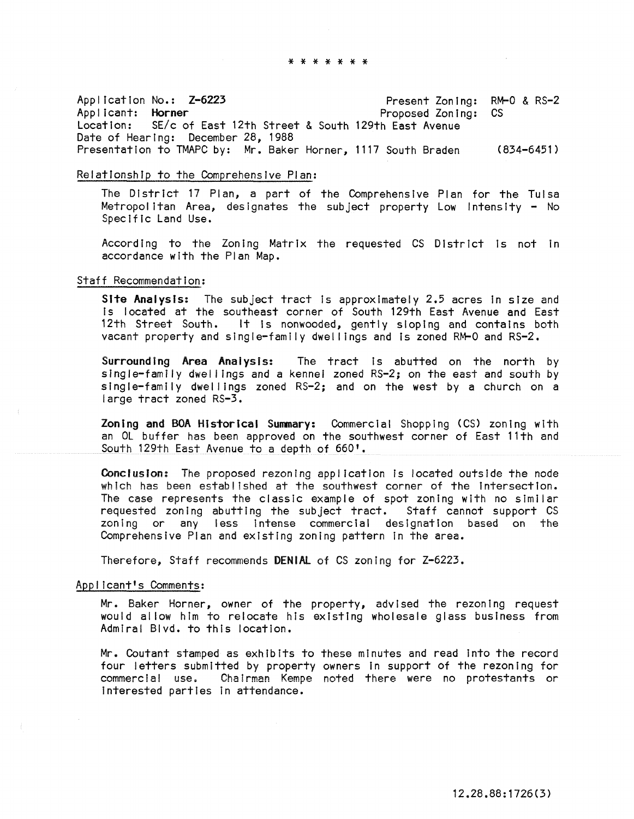Application No.: Z-6223 Present Zoning:<br>Applicant: Horner Proposed Zoning: Applicant: Horner<br>Location: SE/c on SE/c of East 12th Street & South 129th East Avenue Date of Hearing: December 28, 1988 Presentation to TMAPC by: Mr. Baker Horner, 1117 South Braden (834-6451) Present Zoning: RM-0 & RS-2 CS

#### Relationship to the Comprehensive Plan:

The District 17 Plan, a part of the Comprehensive Plan for the Tulsa Metropolitan Area, designates the subject property Low Intensity - No Specific Land Use.

According to the Zoning Matrix the requested CS District Is not In accordance with the Plan Map.

### Staff Recommendation:

Site Analysis: The subject tract is approximately 2.5 acres in size and Is located at the southeast corner of South 129th East Avenue and East 12th Street South. It is nonwooded, gently sloping and contains both vacant property and single-family dwel lings and Is zoned RM-O and RS-2.

Surrounding Area Analysis: The tract is abutted on the north by single-family dwel lings and a kennel zoned RS-2; on the east and south by sing I e-family dwellings zoned  $RS-2$ ; and on the west by a church on a large tract zoned RS-3.

Zoning and BOA Historical Summary: Commercial Shopping (CS) zoning with an OL buffer has been approved on the southwest corner of East 11th and South 129th East Avenue to a depth of 660'.

Conclusion: The proposed rezoning application is located outside the node which has been established at the southwest corner of the intersection. The case represents the classic example of spot zoning with no similar requested zoning abutting the subject tract. Staff cannot support CS zoning or any less intense commercial designation based on the Comprehensive Plan and existing zoning pattern in the area.

Therefore, Staff recommends DENIAL of CS zoning for Z-6223.

### ApDI Icant's Comments:

Mr. Baker Horner, owner of the property, advised the rezoning request would allow him to relocate his existing wholesale glass business from Admiral Blvd. to this location.

Mr. Coutant stamped as exhibIts to these minutes and read Into the record four letters submitted by property owners In support of the rezoning for commercia! use. Chairman Kempe noted there were no protestants or interested parties In attendance.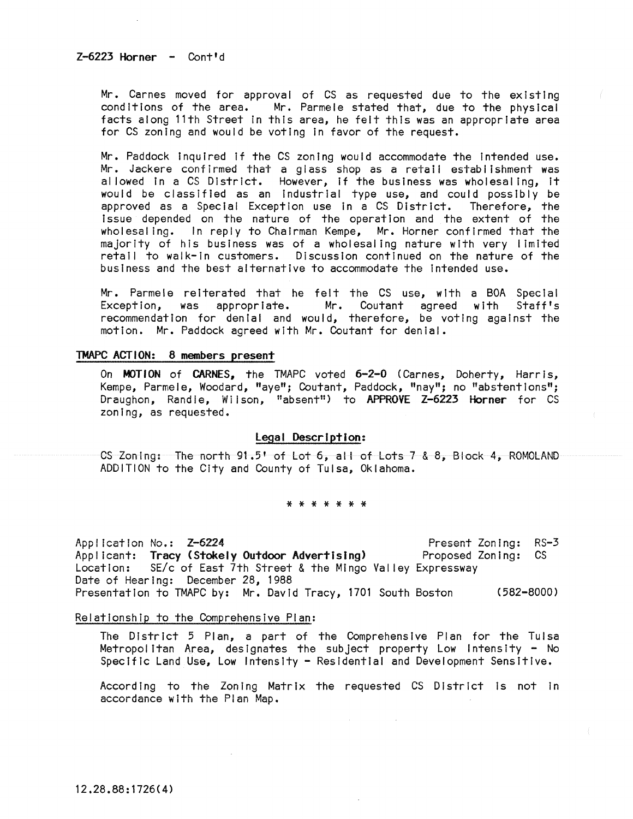$Z-6223$  Horner  $-$  Cont'd

Mr. Carnes moved for approval of CS as requested due to the existing conditions of the area. Mr. Parmele stated that, due to the physical facts along 11th Street In this area, he felt this was an appropriate area for CS zoning and would be voting In favor of the request.

Mr. Paddock Inquired If the CS zoning would accommodate the Intended use. Mr. Jackere confirmed that a glass shop as a retail establishment was allowed In a CS District. However, If the business was wholesaling, It would be classified as an Industrial type use, and could possibly be approved as a Special Exception use in a CS District. Therefore, the Issue depended on the nature of the operation and the extent of the wholesaling. In reply to Chairman Kempe, Mr. Horner confirmed that the majority of his business was of a wholesaling nature with very limited retail to walk-In customers. Discussion continued on the nature of the business and the best alternative to accommodate the Intended use.

Mr. Parmele reiterated that he felt the CS use, with a BOA Special Exception, was appropriate. Mr. Coutant agreed with recommendation for denial and would, therefore, be voting against the motion. Mr. Paddock agreed with Mr. Coutant for denial.

# TMAPC ACTION: 8 members present

On MOTION of CARNES, the TMAPC voted 6-2-0 (Carnes, Doherty, Harris, Kempe, Parmele, Woodard, "aye"; Coutant, Paddock, "nay"; no "abstentions"; Draughon, Randle, Wilson, "absent") to APPROVE Z-6223 Horner for CS zoning, as requested.

### legal Description:

CS Zoning: The north 91.5' of Lot 6, all of Lots 7 & 8, Block 4, ROMOLAND ADDITION to the City and County of Tulsa, Oklahoma.

### \* \* \* \* \* \* \*

**Appl ication No.: Z-5224**  Applicant: Tracy (Stokely Outdoor Advertising) Location: SE/c of East 7th Street & the Mingo Val ley Expressway Date of Hearing: December 28, 1988 **Present Zoning: RS-3**  Proposed Zoning: CS Presentation to TMAPC by: Mr. David Tracy, 1701 South Boston (582-8000)

Relationship to the Comprehensive Plan:

The District 5 Plan, a part of the Comprehensive Plan for the Tulsa Metropolitan Area, designates the subject property Low Intensity - No Specific Land Use, Low Intensity - Residential and Development Sensitive.

According to the Zoning Matrix the requested CS District Is not In accordance with the Plan Map.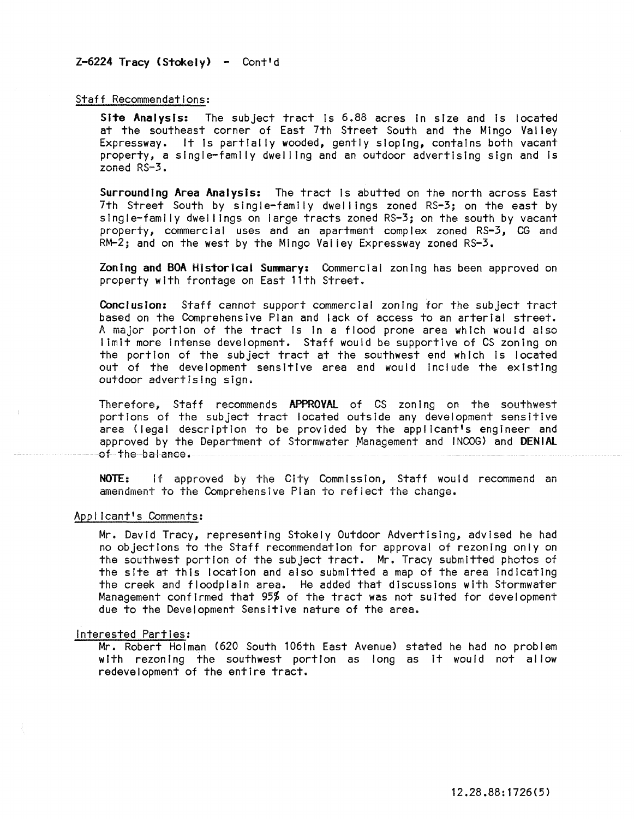# $Z-6224$  Tracy (Stokely) - Cont'd

## Staff Recommendations:

Site Analysis: The subject tract is 6.88 acres in size and is located at the southeast corner of East 7th Street South and the Mingo Valley Expressway. It Is partially wooded, gently sloping, contains both vacant property, a single-family dwel ling and an outdoor advertising sign and Is zoned RS-3.

Surrounding Area Analysis: The tract Is abutted on the north across East 7th Street South by single-family dwellings zoned RS-3; on the east by single-family dwel lings on large tracts zoned RS-3; on the south by vacant property, commercial uses and an apartment complex zoned RS-3, CG and  $RM-2$ ; and on the west by the Mingo Valley Expressway zoned  $RS-3$ .

Zoning and BOA Historical Summary: Commercial zoning has been approved on property with frontage on East 11th Street.

Conclusion: Staff cannot support commercial zoning for the subject tract based on the Comprehensive Plan and lack of access to an arterial street. A major portion of the tract Is In a flood prone area which would also I lmlt more Intense development. Staff would be supportive of CS zoning on the portion of the subject tract at the southwest end which is located out of the development sensitive area and would include the existing outdoor advertising sign.

Therefore, Staff recommends APPROVAl of CS zoning on the southwest portions of the subject tract located outside any development sensitive area (legal description to be provided by the applicant's engineer and approved by the Department of Stormwater Management and INCOG) and DENIAL of the balance.

NOTE: If approved by the City Commission, Staff would recommend an amendment to the Comprehensive Pian to reflect the change.

### App/ Icant's Comments:

Mr. David Tracy, representing Stokely Outdoor Advertising, advised he had no objections to the Staff recommendation for approval of rezoning only on the southwest portion of the subject tract. Mr. Tracy submitted photos of the site at this location and also submitted a map of the area Indicating the creek and floodplain area. He added that discussions with Stormwater Management confirmed that 95% of the tract was not suited for development due to the Development Sensitive nature of the area.

#### Interested Parties:

Mr. Robert Holman (620 South 106th East Avenue) stated he had no problem with rezoning the southwest portion as long as It would not allow redevelopment of the entire tract.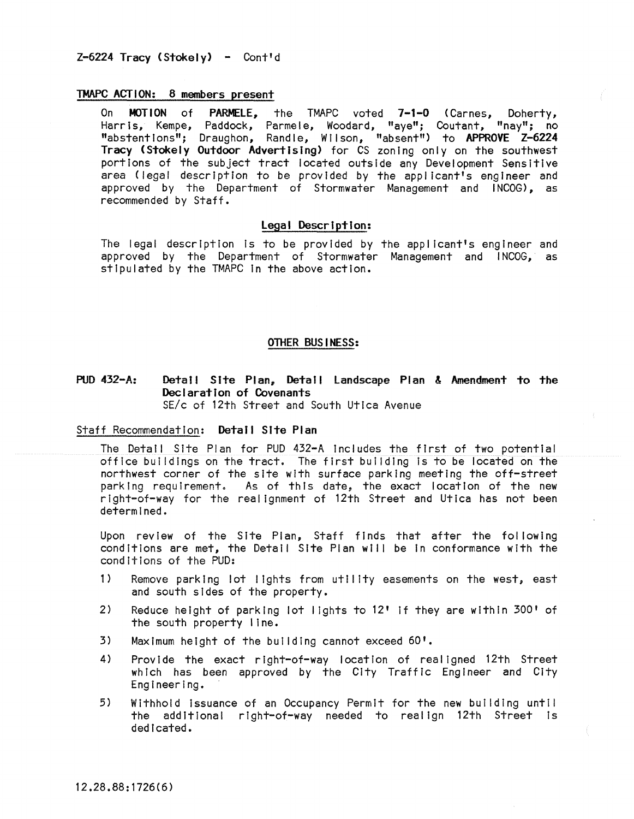# TMAPC ACTION: 8 members present

On MOTION of PARMELE, the TMAPC voted 7-1-0 (Carnes, Doherty, Harris, Kempe, Paddock, Parmele, Woodard, "aye"; Coutant, "nay"; no "abstentions"; Draughon, Randle, Wilson, "absent") to APPROVE Z-6224 Tracy (Stokely Outdoor Advertising) for CS zoning only on the southwest portions of the subject tract located outside any Development Sensitive area (legal description to be provided by the applicant's engineer and approved by the Department of Stormwater Management and INCOG), as recommended by Staff.

### Legal Description:

The legal description is to be provided by the applicant's engineer and approved by the Department of Stormwater Management and INCOG, as stipulated by the TMAPC In the above action.

# OTHER BUSINESS:

PUD 432-A: Detail Site Plan, Detail Landscape Plan & Amendment to the Declaration of Covenants SE/c of 12th Street and South Utica Avenue

Staff Recommendation: Detail Site Plan

The Detail Site Plan for PUD 432-A includes the first of two potential office buildings on the tract. The first building is to be located on the northwest corner of the site with surface parking meeting the off-street parking requirement. As of this date, the exact location of the new right-of-way for the realignment of 12th Street and Utica has not been determined.

Upon review of the Site Plan, Staff finds that after the fol lowing conditions are met, the Detail Site Plan will be In conformance with the conditions of the PUD:

- 1) Remove parking lot lights from utility easements on the west, east and south sides of the property.
- 2) Reduce height of parking lot lights to 12' If they are within 300' of the south property line.
- 3) Maximum height of the building cannot exceed 60'.
- 4) Provide the exact right-of-way location of realigned 12th Street which has been approved by the City Traffic Engineer and City Engineering.
- 5) Withhold Issuance of an Occupancy Permit for the new building until the additional right-of-way needed to realign 12th Street Is dedicated.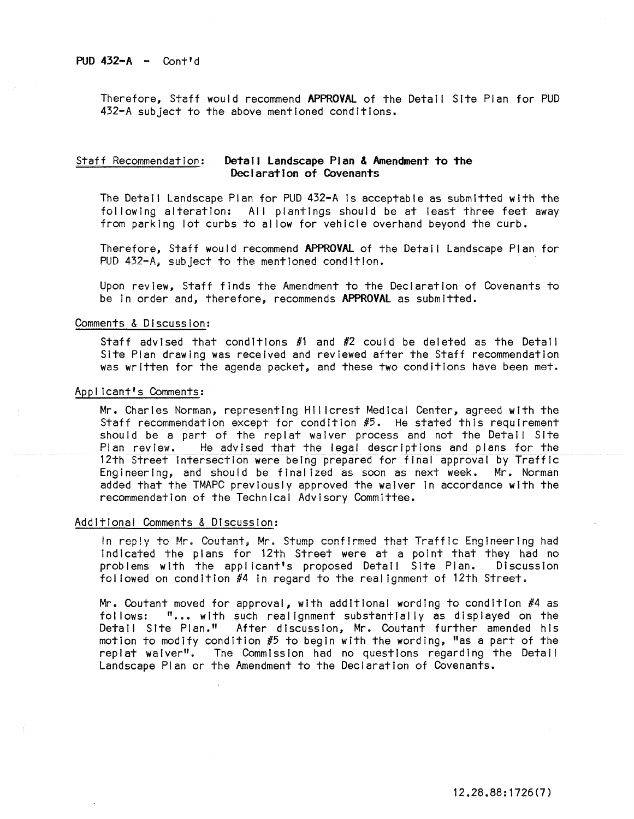Therefore, Staff would recommend APPROVAl of the Detail Site Plan for PUD 432-A subject to the above mentioned conditions.

# Staff Recommendation: Detail Landscape **Plan &** Amendment to the Declaration of Covenants

The Detail Landscape Plan for PUD 432-A Is acceptable as submitted with the following alteration: All plantings should be at least three feet away from parking lot curbs to al low for vehicle overhand beyond the curb.

Therefore, Staff would recommend APPROVAl of the Detail Landscape Plan for PUD 432-A, subject to the mentioned condition.

Upon review, Staff finds the Amendment to the Declaration of Covenants to be in order and, therefore, recommends APPROVAL as submitted.

### Comments & Discussion:

Staff advised that conditions  $#1$  and  $#2$  could be deleted as the Detail Site Plan drawing was received and reviewed after the Staff recommendation was written for the agenda packet, and these two conditions have been met.

### Applicant's Comments:

Mr. Charles Norman, representing Hillcrest Medical Center, agreed with the Staff recommendation except for condition #5. He stated this requirement should be a part of the replat waiver process and not the Detail Site<br>Plan review. He advised that the legal descriptions and plans for the He advised that the legal descriptions and plans for the 12th Street intersection were being prepared for final approval by Traffic Engineering, and should be finalized as soon as next week. Mr. Norman added that the TMAPC previously approved the waiver In accordance with the recommendation of the Technical Advisory Committee.

#### Additional Comments & Discussion:

In reply to Mr. Coutant, Mr. Stump confirmed that Traffic Engineering had Indicated the plans for 12th Street were at a point that they had no problems with the applicant's proposed Detail Site Plan. Discussion fol lowed on condition #4 In regard to the realignment of 12th Street.

Mr. Coutant moved for approval, with additional wording to condition #4 as follows: "... with such realignment substantially as displayed on the Detail Site Plan." After discussion, Mr. Coutant further amended his motion to modify condition  $#5$  to begin with the wording, "as a part of the replat waiver". The Commission had no questions regarding the Detail Landscape Plan or the Amendment to the Declaration of Covenants.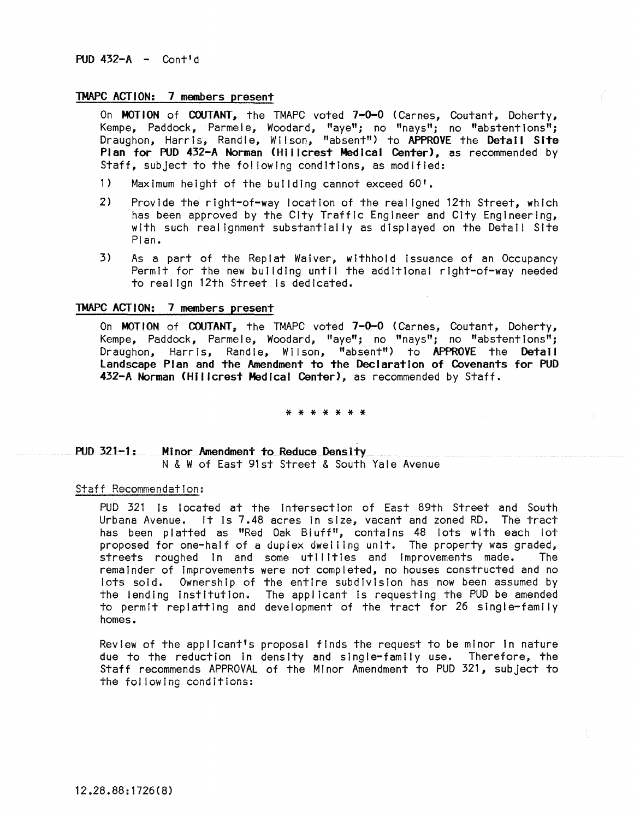## TMAPC ACTION: 7 members present

On MOTION of COUTANT, the TMAPC voted 7-0-0 (Carnes, Coutant, Doherty, Kempe, Paddock, Parmele, Woodard, "aye"; no "nays"; no "abstentions"; Draughon, Harris, Randle, Wilson, "absent") to APPROVE the Detail Site Plan for PUD 432-A Norman (Hillcrest Medical Center), as recommended by Staff, subject to the following conditions, as modified:

- 1) Maximum height of the building cannot exceed 60'.
- 2) Provide the right-of-way location of the realigned 12th Street, which has been approved by the City Traffic Engineer and City Engineering, with such realignment substantially as displayed on the Detail Site Plan.
- 3) As a part of the Replat Waiver, withhold Issuance of an Occupancy Permit for the new building until the additional right-of-way needed to realign 12th Street Is dedicated.

### TMAPC ACTION: 7 members present

On MOTION of COUTANT, the TMAPC voted 7-0-0 (Carnes, Coutant, Doherty, Kempe, Paddock, Parmele, Woodard, "aye"; no "nays"; no "abstentions"; Draughon, Harris, Randle, Wilson, "absent") to APPROVE the Detail Landscape Plan and the Amendment to the Declaration of Covenants for PUD 432-A Norman (Hillcrest Medical Center), as recommended by Staff.

\* \* \* \* \* \* \*

# PUD 321-1: Minor Amendment to Reduce Density N & W of East 91st Street & South Yale Avenue

# Staff Recommendation:

PUD 321 Is located at the Intersection of East 89th Street and South Urbana Avenue. It Is 7.48 acres In size, vacant and zoned RD. The tract has been platted as "Red Oak Bluff", contains 48 lots with each lot proposed for one-half of a duplex dwelling unit. The property was graded, streets roughed In and some utilities and improvements made. The remainder of Improvements were not completed, no houses constructed and no lots sold. Ownership of the entire subdivision has now been assumed by the lending Institution. The applicant Is requesting the PUD be amended to permit replattlng and development of the tract for 26 single-family homes.

Review of the applicant's proposal finds the request to be minor In nature due to the reduction In density and single-family use. Therefore, the Staff recommends APPROVAL of the Minor Amendment to PUD 321, subject to the fol lowing conditions: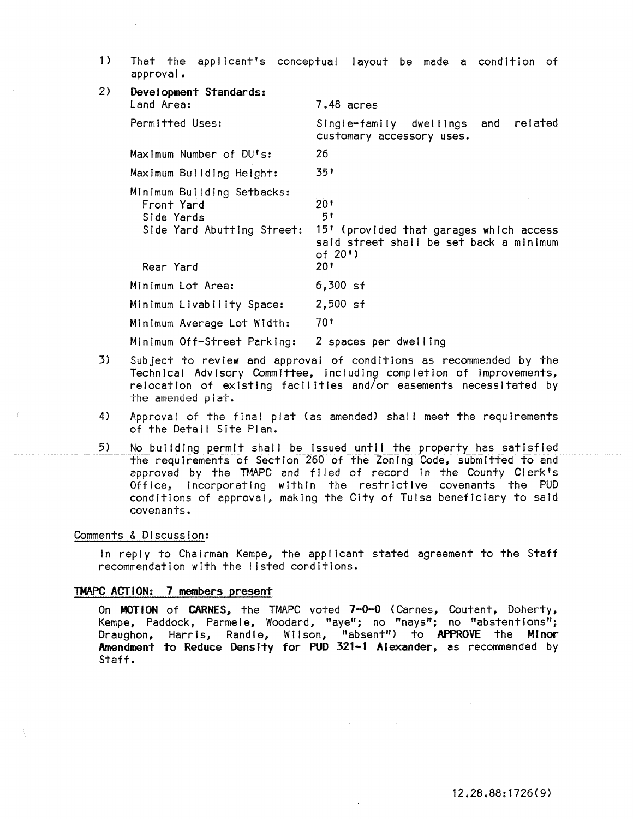1) That the applicant's conceptual layout be made a condition of approval.

| 2) | Development Standards:<br>Land Area:                                                              | $7.48$ acres                                                                                                               |
|----|---------------------------------------------------------------------------------------------------|----------------------------------------------------------------------------------------------------------------------------|
|    | Permitted Uses:                                                                                   | related<br>Single-family dwellings<br>and<br>customary accessory uses.                                                     |
|    | Maximum Number of DU's:                                                                           | 26                                                                                                                         |
|    | Maximum Building Height:                                                                          | 351                                                                                                                        |
|    | Minimum Building Setbacks:<br>Front Yard<br>Side Yards<br>Side Yard Abutting Street:<br>Rear Yard | $20^{\circ}$<br>5!<br>15' (provided that garages which access<br>said street shall be set back a minimum<br>of 20')<br>201 |
|    | Minimum Lot Area:                                                                                 | $6,300$ sf                                                                                                                 |
|    | Minimum Livability Space:                                                                         | $2,500$ sf                                                                                                                 |
|    | Minimum Average Lot Width:                                                                        | 70'                                                                                                                        |
|    | Minimum Off-Street Parking:                                                                       | 2 spaces per dwelling                                                                                                      |

- 3) Subject to review and approval of conditions as recommended by the Technical Advisory Committee, including completion of improvements, relocation of existing facilities and/or easements necessitated by the amended plat.
- 4) Approval of the final plat (as amended) shall meet the requirements of the Detail Site Plan.
- 5) No building permit shall be Issued until the property has satisfied the requirements of Section 260 of the Zoning Code, submitted to and approved by the TMAPC and filed of record in the County Clerk's Office, Incorporating within the restrictive covenants the PUD conditions of approval, making the City of Tulsa beneficiary to said covenants.

# Comments & Discussion:

In reply to Chairman Kempe, the applicant stated agreement to the Staff recommendation wIth the listed conditions.

#### TMAPC ACTION: 7 members present

On MOTION of CARNES, the TMAPC voted 7-0-0 (Carnes, Coutant, Doherty, Kempe, Paddock, Parmele, Woodard, "aye"; no "nays"; no "abstentions"; Draughon, Harris, Randle, Wilson, "absent") to APPROVE the Minor Amendment to Reduce Density for PUD 321-1 Alexander, as recommended by Staff.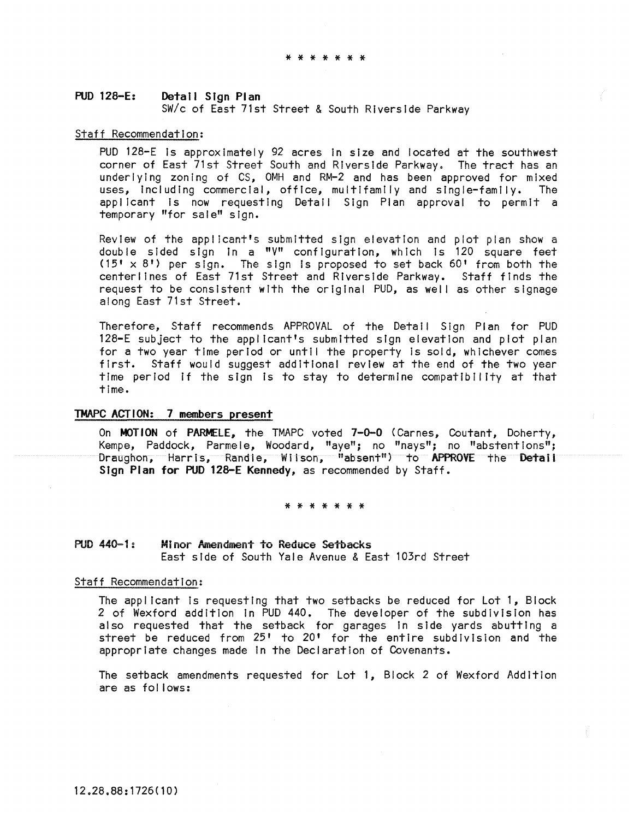# PUD 128-E: Detail Sign Plan *sWlc* of East 71st Street & South Riverside Parkway

#### Staff Recommendation:

PUD 128-E Is approximately 92 acres In size and located at the southwest corner of East 71st Street South and Riverside Parkway. The tract has an underlying zoning of CS, OMH and RM-2 and has been approved for mixed uses, Including commercial, office, multifamily and single-family. The appl icant is now requesting Detail Sign Plan approval to permit a temporary "for sale" sign.

Review of the applicant's submitted sign elevation and plot plan show a double sided sign In a "V" configuration, which Is 120 square feet  $(15' \times 8')$  per sign. The sign is proposed to set back 60' from both the centerllnes of East 71st Street and Riverside Parkway. Staff finds the request to be consistent with the original PUD, as well as other slgnage along East 71st Street.

Therefore, Staff recommends APPROVAL of the Detail Sign Plan for PUD 128-E subject to the applicant's submitted sign elevation and plot plan for a two year time period or until the property Is sold, whichever comes first. Staff would suggest additional review at the end of the two year time period if the sign is to stay to determine compatibility at that time.

# TMAPC ACTION: 7 members present

On MOTION of PARMELE, the TMAPC voted 7-0-0 (Carnes, Coutant, Doherty, Kempe, Paddock, Parmele, Woodard, "aye"; no "nays"; no "abstentions"; Draughon, Harris, Randie, Wilson, "absent") to APPROVE the Detaii Sign Plan for PUD 128-E Kennedy, as recommended by Staff.

#### \* \* \* \* \* \* \*

# PUD 440-1: Minor Amendment to Reduce Setbacks East side of South Yale Avenue & East 103rd Street

#### Staff Recommendation:

The applicant Is requesting that two setbacks be reduced for Lot 1, Block 2 of Wexford addition In PUD 440. The developer of the subdivision has also requested that the setback for garages In side yards abutting a street be reduced from 25' to 20' for the entire subdivision and the appropriate changes made In the Declaration of Covenants.

The setback amendments requested for Lot 1, Block 2 of Wexford Addition are as follows: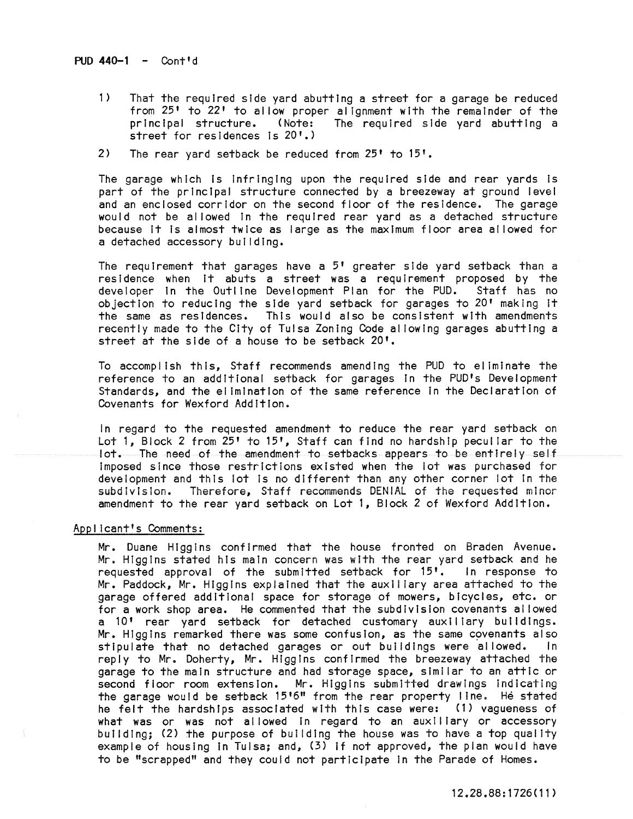### PUD  $440 - 1 -$  Cont<sup> $d$ </sup>

- 1) That the required side yard abutting a street for a garage be reduced from 25' to 22' to al low proper alignment with the remainder of the principal structure. (Note: The required side yard abutting a street for residences Is 20'.)
- 2) The rear yard setback be reduced from 25' to 15'.

The garage which is infringing upon the required side and rear yards is part of the prIncipal structure connected by a breezeway at ground level and an enclosed corridor on the second floor of the residence. The garage would not be allowed in the required rear yard as a detached structure because It is almost twice as large as the maximum floor area al lowed for a detached accessory buildIng.

The requirement that garages have a 5' greater side yard setback than a residence when it abuts a street was a requirement proposed by the developer in the Outline Development Plan for the PUD. Staff has no developer in the Outline Development Plan for the PUD. objection to reducing the side yard setback for garages to 20' making It the same as residences. This would also be consistent with amendments recently made to the City of Tulsa Zoning Code al lowing garages abutting a street at the side of a house to be setback 20'.

To accomplish this, Staff recommends amending the PUD to eliminate the reference to an additional setback for garages In the PUD's Development Standards, and the elimination of the same reference in the Declaration of Covenants for Wexford Addition.

In regard to the requested amendment to reduce the rear yard setback on Lot 1, Block 2 from 25' to 15', Staff can find no hardship peculiar to the lot. The need of the amendment to setbacks appears to be entirely self Imposed since those restrIctions existed when the lot was purchased for development and this lot Is no different than any other corner lot In the subdivision. Therefore, Staff recommends DENIAL of the requested minor amendment to the rear yard setback on Lot 1, Block 2 of Wexford Addition.

# Applicant's Comments:

Mr. Duane Higgins confirmed that the house fronted on Braden Avenue. Mr. Higgins stated his main concern was with the rear yard setback and he requested approval of the submitted setback for 15'. In response to Mr. Paddock, Mr. Higgins explained that the auxli lary area attached to the garage offered addItional space for storage of mowers, bicycles, etc. or for a work shop area. He commented that the subdivision covenants allowed a 10' rear yard setback for detached customary auxtllary buildings. Mr. Higgins remarked there was some confusion, as the same covenants also stipulate that no detached garages or out buildings were allowed. In reply to Mr. Doherty, Mr. Higgins confirmed the breezeway attached the garage to the main structure and had storage space, similar to an attic or second floor room extension. Mr. Higgins submitted drawings indicating the garage would be setback 15'6" from the rear property line. He stated he felt the hardshIps associated with this case were: (1) vagueness of what was or was not allowed in regard to an auxiliary or accessory building; (2) the purpose of building the house was to have a top quality example of housing In Tulsa; and, (3) If not approved, the plan would have to be "scrapped" and they could not participate In the Parade of Homes.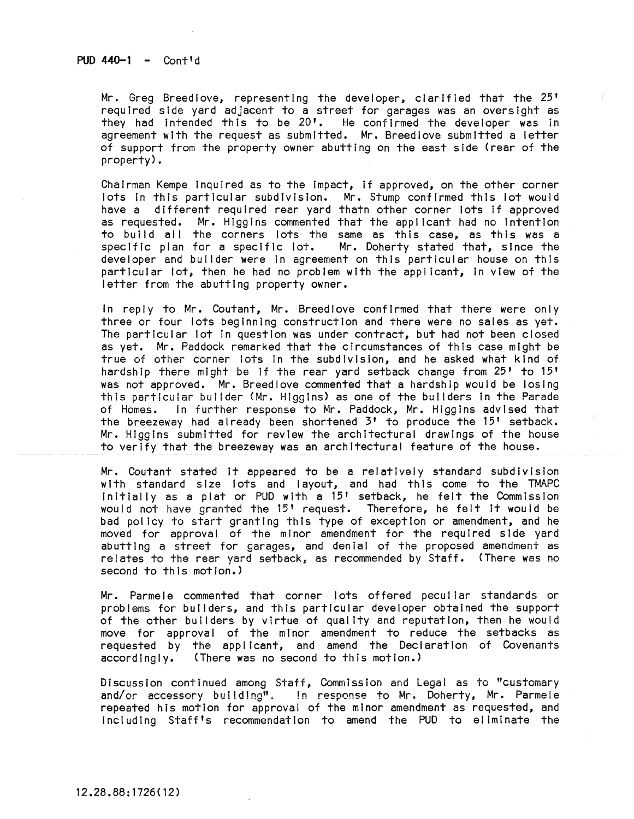$PID 440-1 - Cont'd$ 

Mr. Greg Breedlove, representing the developer, clarified that the 25' required side yard adjacent to a street for garages was an oversight as they had intended this to be  $20$ <sup>t</sup>. He confirmed the developer was in agreement with the request as submitted. Mr. Breedlove submitted a letter of support from the property owner abutting on the east side (rear of the property).

Chairman Kempe Inquired as to the Impact, If approved, on the other corner lots In this particular subdivision. Mr. Stump confirmed this lot would have a different required rear yard thatn other corner lots If approved as requested. Mr. Higgins commented that the applicant had no Intention to build all the corners lots the same as this case, as this was a specific plan for a specific lot. Mr. Doherty stated that, since the Mr. Doherty stated that, since the developer and builder were In agreement on this particular house on this particular lot, then he had no problem with the applicant, In view of the letter from the abutting property owner.

In reply to Mr. Coutant, Mr. Breedlove confirmed that there were only three or four lots beginning construction and there were no sales as yet. The particular lot In question was under contract, but had not been closed as yet. Mr. Paddock remarked that the circumstances of this case might be true of other corner lots In the subdivision, and he asked what kind of hardship there might be If the rear yard setback change from 25' to 15' was not approved. Mr. Breedlove commented that a hardship would be losing this particular builder (Mr. Higgins) as one of the builders in the Parade of Homes. In further response to Mr. Paddock, Mr. Higgins advised that the breezeway had already been shortened 3' to produce the 15' setback. Mr. Higgins submitted for review the architectural drawings of the house to verify that the breezeway was an architectural feature of the house.

Mr. Coutant stated it appeared to be a relatively standard subdivision with standard size lots and layout, and had this come to the TMAPC Initially as a plat or PUD with a 15' setback, he felt the Commission<br>would not have granted the 15' request. Therefore, he felt it would be would not have granted the 15' request. Therefore, he felt it would be<br>bad policy to start granting this type of exception or amendment, and he moved for approval of the minor amendment for the required side yard abutting a street for garages, and den ial of the proposed amendment as relates to the rear yard setback, as recommended by Staff. (There was no second to this motion.)

Mr. Parmele commented that corner lots offered peculiar standards or problems for builders, and this particular developer obtained the support of the other builders by virtue of quality and reputation, then he would move for approval of the minor amendment to reduce the setbacks as requested by the applicant, and amend the Declaration of Covenants accordingly. (There was no second to this motion.)

Discussion continued among Staff, Commission and Legal as to "customary and/or accessory building". In response to Mr. Doherty, Mr. Parmele repeated his motion for approval of the minor amendment as requested, and Including Staff's recommendation to amend the PUD to eliminate the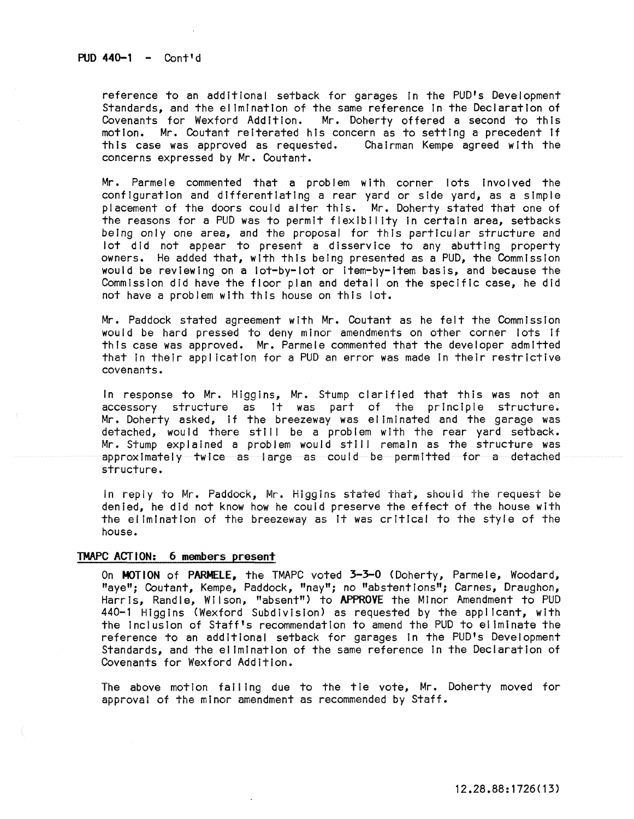$PUD 440-1 -$  Cont'd

reference to an additional setback for garages in the PUD's Development Standards, and the elimination of the same reference In the Declaration of Covenants for Wexford Addition. Mr. Doherty offered a second to this<br>motion. Mr. Coutant reiterated his concern as to setting a precedent if Mr. Coutant reiterated his concern as to setting a precedent if this case was approved as requested. Chairman Kempe agreed with the concerns expressed by Mr. Coutant.

Mr. Parmele commented that a problem with corner lots involved the configuration and differentiating a rear yard or side yard, as a simple placement of the doors could alter this. Mr. Doherty stated that one of the reasons for a PUD was to permit flexibility In certain area, setbacks being only one area, and the proposal for this particular structure and lot did not appear to present a disservice to any abutting property owners. He added that, with this being presented as a PUD, the Commission would be reviewing on a lot-by-Iot or Item-by-Item basis, and because the Commission did have the floor plan and detail on the specific case, he did not have a problem with this house on this lot.

Mr. Paddock stated agreement with Mr. Coutant as he felt the Commission would be hard pressed to deny minor amendments on other corner lots if this case was approved. Mr. Parmele commented that the developer admitted that in their application for a PUD an error was made in their restrictive covenants.

In response to Mr. Higgins, Mr. Stump clarIfied that this was not an accessory structure as It was part of the principle structure. Mr. Doherty asked, If the breezeway was eliminated and the garage was detached, would there still be a problem with the rear yard setback. Mr. Stump explained a problem would still remain as the structure was approximately twice as large as could be permitted for a detached structure.

In reply to Mr. Paddock, Mr. Higgins stated that, should the request be denied, he did not know how he could preserve the effect of the house with the elimination of the breezeway as It was critical to the style of the house.

### TMAPC ACTION: 6 members present

On MOTION of PARMELE, the TMAPC voted 3-3-0 (Doherty, Parmele, Woodard, "aye"; Coutant, Kempe, Paddock, "nay"; no "abstentions"; Carnes, Draughon, Harris, Randle, Wilson, "absent") to APPROVE the Minor Amendment to PUD 440-1 Higgins (Wexford Subdivision) as requested by the applicant, wIth the Inclusion of Staff's recommendation to amend the PUD to eliminate the reference to an additional setback for garages in the PUD's Development Standards, and the elimination of the same reference In the Declaration of Covenants for Wexford Addition.

The above motion failing due to the tie vote, Mr. Doherty moved for **approval of the minor amendment as recommended by Staff.**